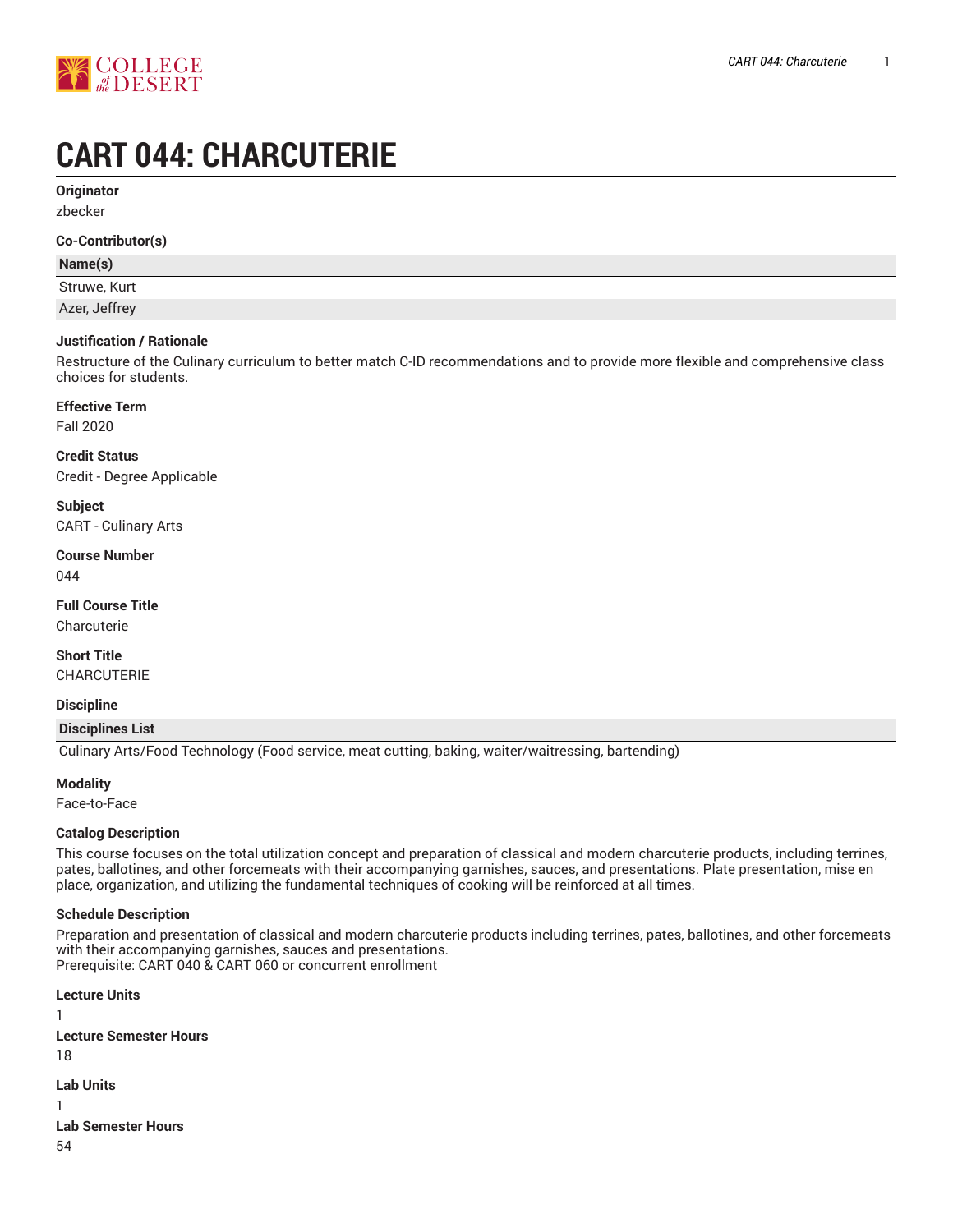

# **CART 044: CHARCUTERIE**

**Originator**

zbecker

#### **Co-Contributor(s)**

## **Name(s)**

Struwe, Kurt

Azer, Jeffrey

## **Justification / Rationale**

Restructure of the Culinary curriculum to better match C-ID recommendations and to provide more flexible and comprehensive class choices for students.

## **Effective Term**

Fall 2020

## **Credit Status**

Credit - Degree Applicable

**Subject** CART - Culinary Arts

## **Course Number**

044

#### **Full Course Title**

Charcuterie

## **Short Title**

CHARCUTERIE

#### **Discipline**

#### **Disciplines List**

Culinary Arts/Food Technology (Food service, meat cutting, baking, waiter/waitressing, bartending)

#### **Modality**

Face-to-Face

## **Catalog Description**

This course focuses on the total utilization concept and preparation of classical and modern charcuterie products, including terrines, pates, ballotines, and other forcemeats with their accompanying garnishes, sauces, and presentations. Plate presentation, mise en place, organization, and utilizing the fundamental techniques of cooking will be reinforced at all times.

## **Schedule Description**

Preparation and presentation of classical and modern charcuterie products including terrines, pates, ballotines, and other forcemeats with their accompanying garnishes, sauces and presentations. Prerequisite: CART 040 & CART 060 or concurrent enrollment

```
Lecture Units
1
Lecture Semester Hours
18
Lab Units
1
Lab Semester Hours
54
```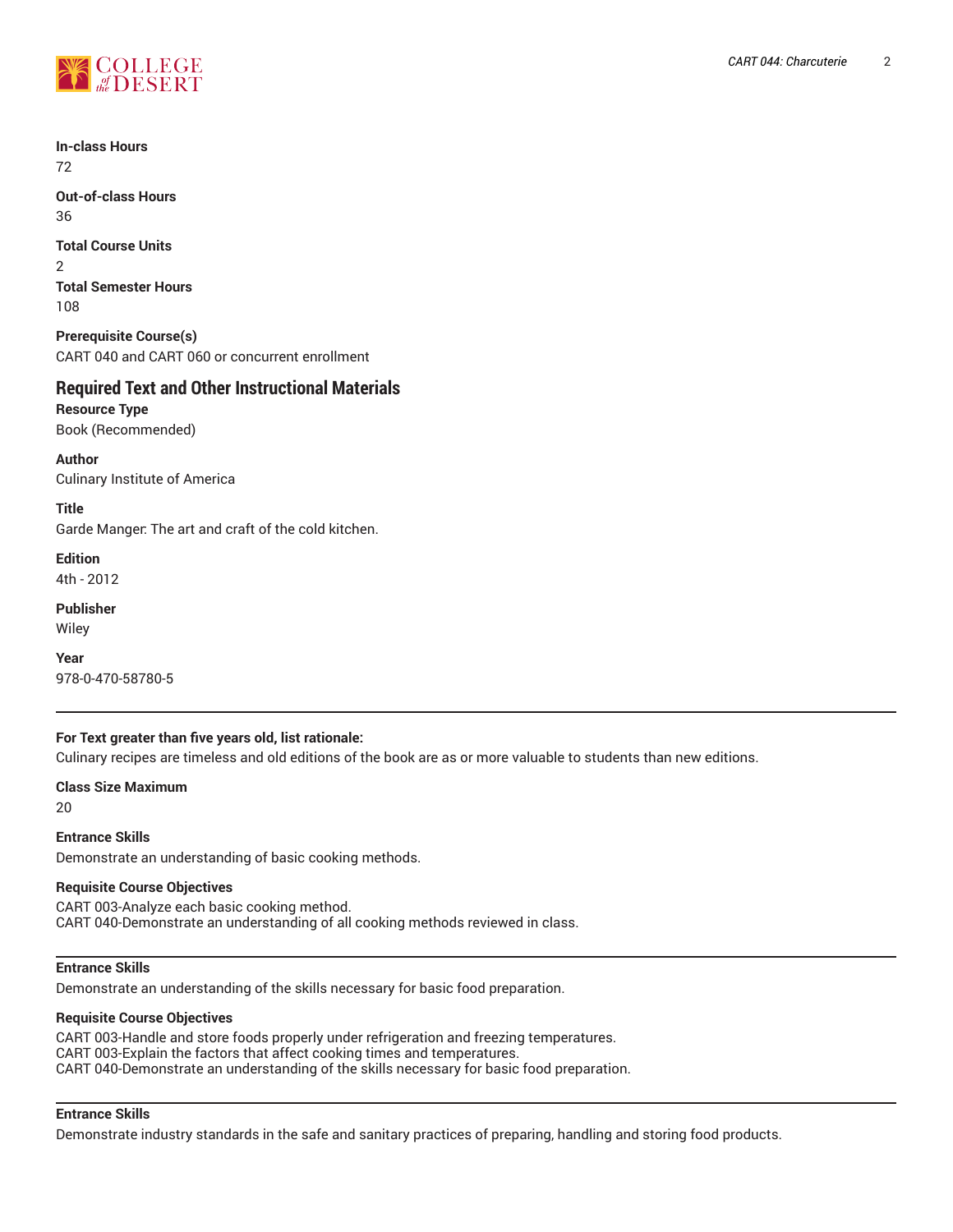

**In-class Hours** 72

**Out-of-class Hours** 36

**Total Course Units** 2 **Total Semester Hours** 108

**Prerequisite Course(s)** CART 040 and CART 060 or concurrent enrollment

# **Required Text and Other Instructional Materials**

**Resource Type** Book (Recommended)

**Author** Culinary Institute of America

**Title** Garde Manger: The art and craft of the cold kitchen.

**Edition** 4th - 2012

**Publisher** Wiley

**Year** 978-0-470-58780-5

## **For Text greater than five years old, list rationale:**

Culinary recipes are timeless and old editions of the book are as or more valuable to students than new editions.

**Class Size Maximum**

20

**Entrance Skills** Demonstrate an understanding of basic cooking methods.

## **Requisite Course Objectives**

CART 003-Analyze each basic cooking method. CART 040-Demonstrate an understanding of all cooking methods reviewed in class.

# **Entrance Skills**

Demonstrate an understanding of the skills necessary for basic food preparation.

#### **Requisite Course Objectives**

CART 003-Handle and store foods properly under refrigeration and freezing temperatures. CART 003-Explain the factors that affect cooking times and temperatures. CART 040-Demonstrate an understanding of the skills necessary for basic food preparation.

## **Entrance Skills**

Demonstrate industry standards in the safe and sanitary practices of preparing, handling and storing food products.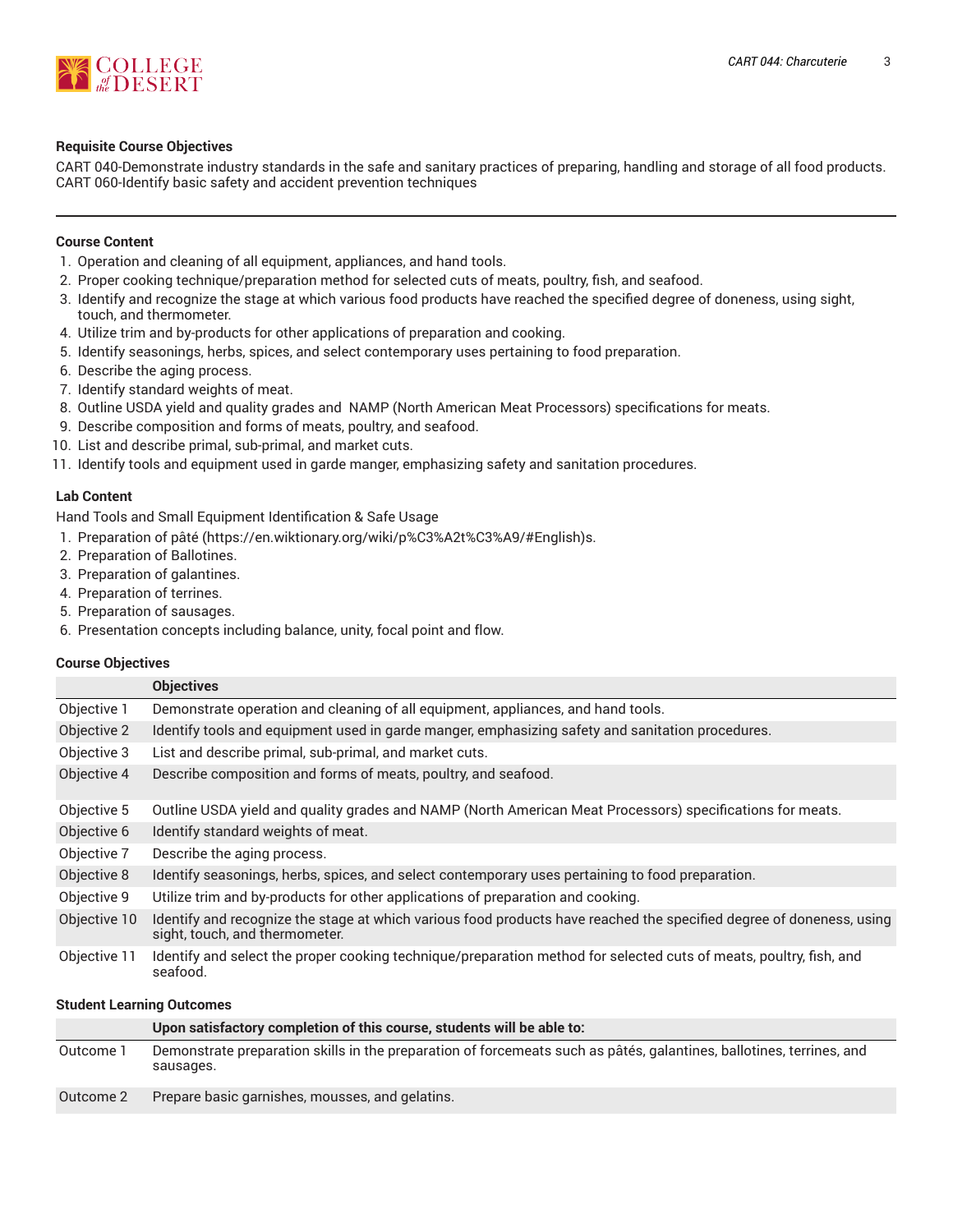

### **Requisite Course Objectives**

CART 040-Demonstrate industry standards in the safe and sanitary practices of preparing, handling and storage of all food products. CART 060-Identify basic safety and accident prevention techniques

## **Course Content**

- 1. Operation and cleaning of all equipment, appliances, and hand tools.
- 2. Proper cooking technique/preparation method for selected cuts of meats, poultry, fish, and seafood.
- 3. Identify and recognize the stage at which various food products have reached the specified degree of doneness, using sight, touch, and thermometer.
- 4. Utilize trim and by-products for other applications of preparation and cooking.
- 5. Identify seasonings, herbs, spices, and select contemporary uses pertaining to food preparation.
- 6. Describe the aging process.
- 7. Identify standard weights of meat.
- 8. Outline USDA yield and quality grades and NAMP (North American Meat Processors) specifications for meats.
- 9. Describe composition and forms of meats, poultry, and seafood.
- 10. List and describe primal, sub-primal, and market cuts.
- 11. Identify tools and equipment used in garde manger, emphasizing safety and sanitation procedures.

#### **Lab Content**

Hand Tools and Small Equipment Identification & Safe Usage

- 1. Preparation of [pâté](https://en.wiktionary.org/wiki/p%C3%A2t%C3%A9/#English) (<https://en.wiktionary.org/wiki/p%C3%A2t%C3%A9/#English>)s.
- 2. Preparation of Ballotines.
- 3. Preparation of galantines.
- 4. Preparation of terrines.

**Course Objectives**

- 5. Preparation of sausages.
- 6. Presentation concepts including balance, unity, focal point and flow.

|              | <b>Objectives</b>                                                                                                                                      |  |  |
|--------------|--------------------------------------------------------------------------------------------------------------------------------------------------------|--|--|
| Objective 1  | Demonstrate operation and cleaning of all equipment, appliances, and hand tools.                                                                       |  |  |
| Objective 2  | Identify tools and equipment used in garde manger, emphasizing safety and sanitation procedures.                                                       |  |  |
| Objective 3  | List and describe primal, sub-primal, and market cuts.                                                                                                 |  |  |
| Objective 4  | Describe composition and forms of meats, poultry, and seafood.                                                                                         |  |  |
| Objective 5  | Outline USDA yield and quality grades and NAMP (North American Meat Processors) specifications for meats.                                              |  |  |
| Objective 6  | Identify standard weights of meat.                                                                                                                     |  |  |
| Objective 7  | Describe the aging process.                                                                                                                            |  |  |
| Objective 8  | Identify seasonings, herbs, spices, and select contemporary uses pertaining to food preparation.                                                       |  |  |
| Objective 9  | Utilize trim and by-products for other applications of preparation and cooking.                                                                        |  |  |
| Objective 10 | Identify and recognize the stage at which various food products have reached the specified degree of doneness, using<br>sight, touch, and thermometer. |  |  |
| Objective 11 | Identify and select the proper cooking technique/preparation method for selected cuts of meats, poultry, fish, and<br>seafood.                         |  |  |

#### **Student Learning Outcomes**

|           | Upon satisfactory completion of this course, students will be able to:                                                            |
|-----------|-----------------------------------------------------------------------------------------------------------------------------------|
| Outcome 1 | Demonstrate preparation skills in the preparation of forcemeats such as pâtés, galantines, ballotines, terrines, and<br>sausages. |
| Outcome 2 | Prepare basic garnishes, mousses, and gelatins.                                                                                   |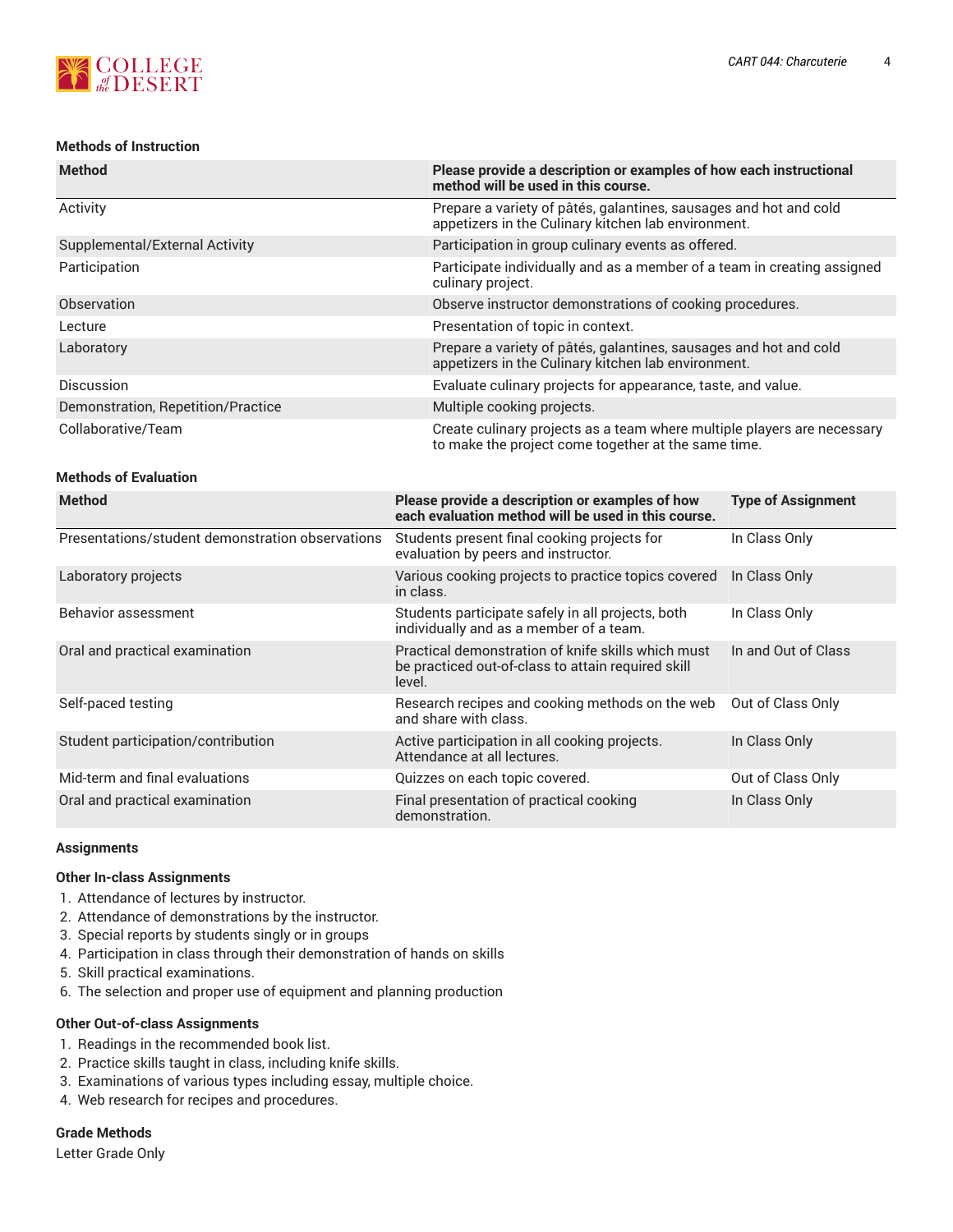

### **Methods of Instruction**

| <b>Method</b>                      | Please provide a description or examples of how each instructional<br>method will be used in this course.                      |
|------------------------------------|--------------------------------------------------------------------------------------------------------------------------------|
| Activity                           | Prepare a variety of pâtés, galantines, sausages and hot and cold<br>appetizers in the Culinary kitchen lab environment.       |
| Supplemental/External Activity     | Participation in group culinary events as offered.                                                                             |
| Participation                      | Participate individually and as a member of a team in creating assigned<br>culinary project.                                   |
| Observation                        | Observe instructor demonstrations of cooking procedures.                                                                       |
| Lecture                            | Presentation of topic in context.                                                                                              |
| Laboratory                         | Prepare a variety of pâtés, galantines, sausages and hot and cold<br>appetizers in the Culinary kitchen lab environment.       |
| Discussion                         | Evaluate culinary projects for appearance, taste, and value.                                                                   |
| Demonstration, Repetition/Practice | Multiple cooking projects.                                                                                                     |
| Collaborative/Team                 | Create culinary projects as a team where multiple players are necessary<br>to make the project come together at the same time. |

#### **Methods of Evaluation**

| <b>Method</b>                                    | Please provide a description or examples of how<br>each evaluation method will be used in this course.             | <b>Type of Assignment</b> |
|--------------------------------------------------|--------------------------------------------------------------------------------------------------------------------|---------------------------|
| Presentations/student demonstration observations | Students present final cooking projects for<br>evaluation by peers and instructor.                                 | In Class Only             |
| Laboratory projects                              | Various cooking projects to practice topics covered<br>in class.                                                   | In Class Only             |
| Behavior assessment                              | Students participate safely in all projects, both<br>individually and as a member of a team.                       | In Class Only             |
| Oral and practical examination                   | Practical demonstration of knife skills which must<br>be practiced out-of-class to attain required skill<br>level. | In and Out of Class       |
| Self-paced testing                               | Research recipes and cooking methods on the web<br>and share with class.                                           | Out of Class Only         |
| Student participation/contribution               | Active participation in all cooking projects.<br>Attendance at all lectures.                                       | In Class Only             |
| Mid-term and final evaluations                   | Quizzes on each topic covered.                                                                                     | Out of Class Only         |
| Oral and practical examination                   | Final presentation of practical cooking<br>demonstration.                                                          | In Class Only             |

#### **Assignments**

#### **Other In-class Assignments**

- 1. Attendance of lectures by instructor.
- 2. Attendance of demonstrations by the instructor.
- 3. Special reports by students singly or in groups
- 4. Participation in class through their demonstration of hands on skills
- 5. Skill practical examinations.
- 6. The selection and proper use of equipment and planning production

## **Other Out-of-class Assignments**

- 1. Readings in the recommended book list.
- 2. Practice skills taught in class, including knife skills.
- 3. Examinations of various types including essay, multiple choice.
- 4. Web research for recipes and procedures.

#### **Grade Methods**

Letter Grade Only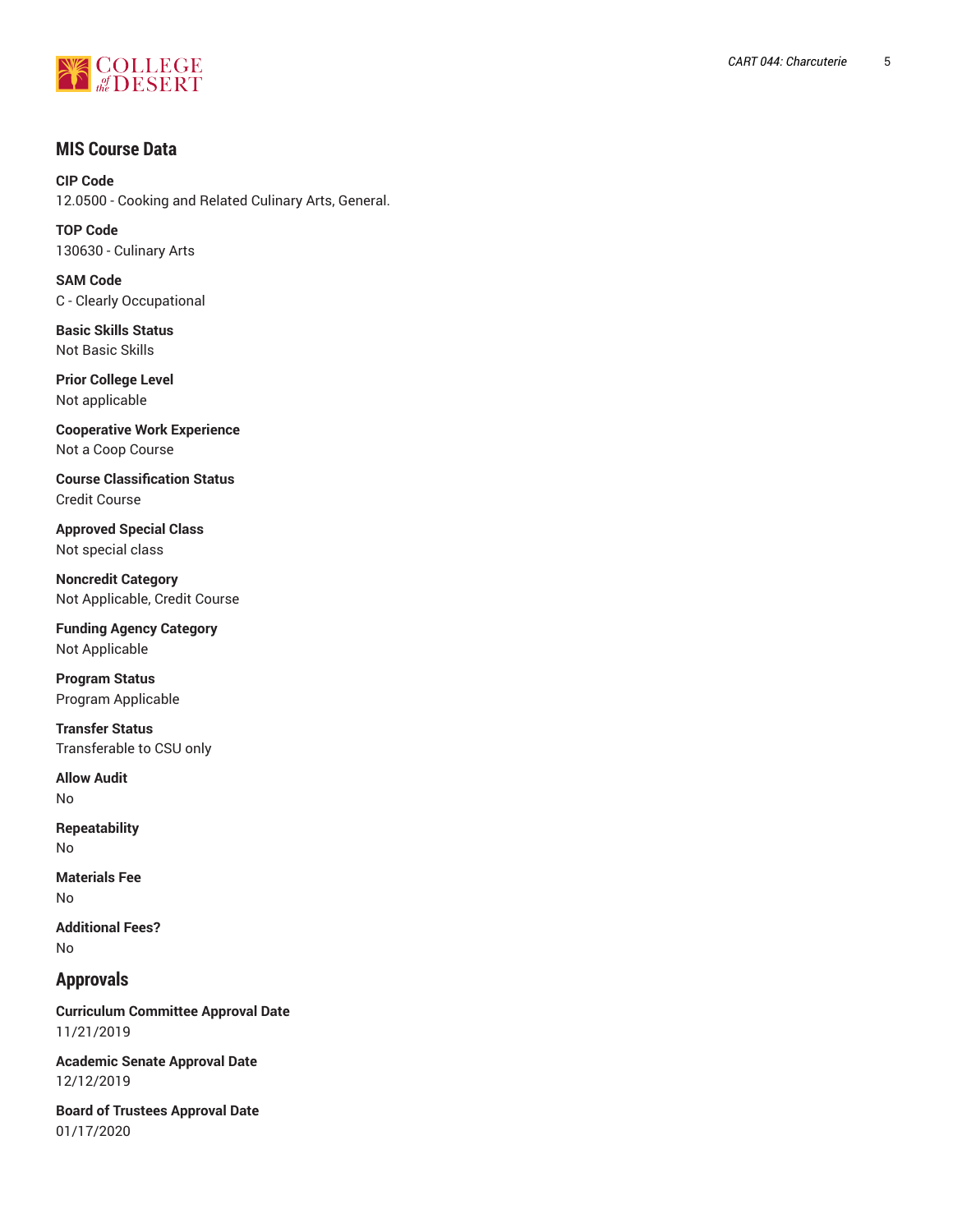

# **MIS Course Data**

**CIP Code** 12.0500 - Cooking and Related Culinary Arts, General.

**TOP Code** 130630 - Culinary Arts

**SAM Code** C - Clearly Occupational

**Basic Skills Status** Not Basic Skills

**Prior College Level** Not applicable

**Cooperative Work Experience** Not a Coop Course

**Course Classification Status** Credit Course

**Approved Special Class** Not special class

**Noncredit Category** Not Applicable, Credit Course

**Funding Agency Category** Not Applicable

**Program Status** Program Applicable

**Transfer Status** Transferable to CSU only

**Allow Audit** No

**Repeatability** No

**Materials Fee** No

**Additional Fees?** No

# **Approvals**

**Curriculum Committee Approval Date** 11/21/2019

**Academic Senate Approval Date** 12/12/2019

**Board of Trustees Approval Date** 01/17/2020